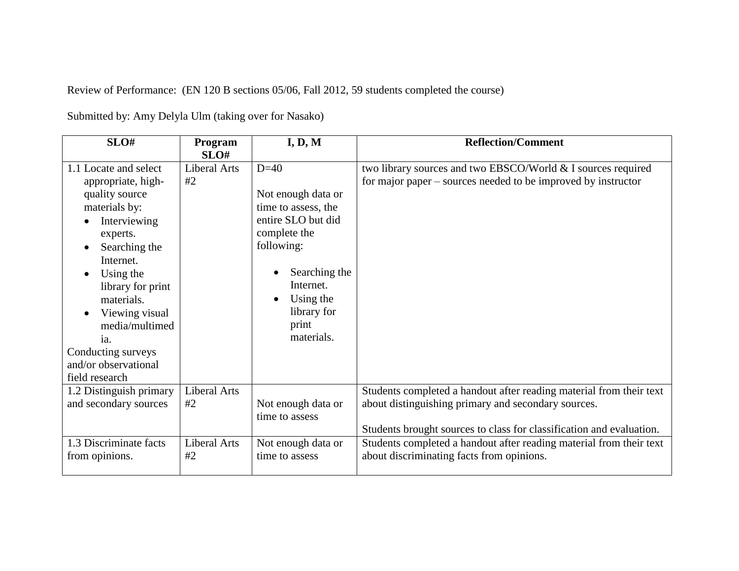Review of Performance: (EN 120 B sections 05/06, Fall 2012, 59 students completed the course)

| SLO#                                                                                                                                                                                                                                                                                                | Program<br>SLO#           | I, D, M                                                                                                                                                                                  | <b>Reflection/Comment</b>                                                                                                                                                                          |
|-----------------------------------------------------------------------------------------------------------------------------------------------------------------------------------------------------------------------------------------------------------------------------------------------------|---------------------------|------------------------------------------------------------------------------------------------------------------------------------------------------------------------------------------|----------------------------------------------------------------------------------------------------------------------------------------------------------------------------------------------------|
| 1.1 Locate and select<br>appropriate, high-<br>quality source<br>materials by:<br>Interviewing<br>experts.<br>Searching the<br>Internet.<br>Using the<br>library for print<br>materials.<br>Viewing visual<br>media/multimed<br>ia.<br>Conducting surveys<br>and/or observational<br>field research | Liberal Arts<br>#2        | $D=40$<br>Not enough data or<br>time to assess, the<br>entire SLO but did<br>complete the<br>following:<br>Searching the<br>Internet.<br>Using the<br>library for<br>print<br>materials. | two library sources and two EBSCO/World & I sources required<br>for major paper – sources needed to be improved by instructor                                                                      |
| 1.2 Distinguish primary<br>and secondary sources                                                                                                                                                                                                                                                    | <b>Liberal Arts</b><br>#2 | Not enough data or<br>time to assess                                                                                                                                                     | Students completed a handout after reading material from their text<br>about distinguishing primary and secondary sources.<br>Students brought sources to class for classification and evaluation. |
| 1.3 Discriminate facts<br>from opinions.                                                                                                                                                                                                                                                            | Liberal Arts<br>#2        | Not enough data or<br>time to assess                                                                                                                                                     | Students completed a handout after reading material from their text<br>about discriminating facts from opinions.                                                                                   |

Submitted by: Amy Delyla Ulm (taking over for Nasako)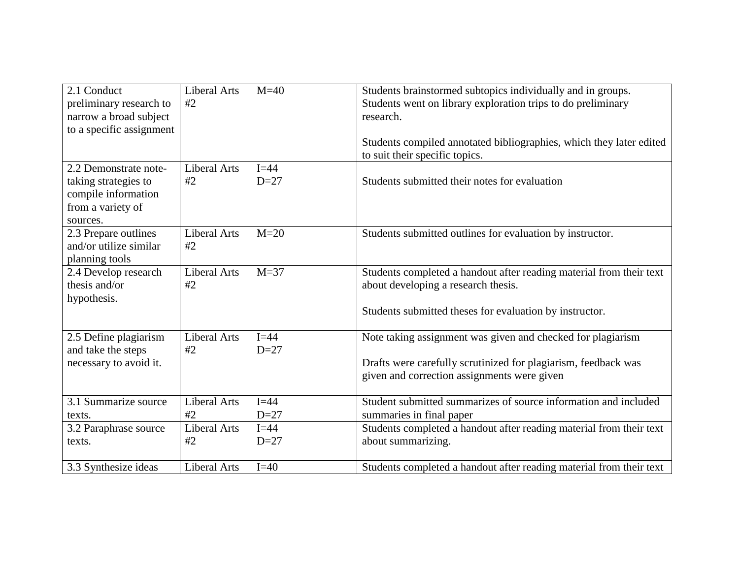| 2.1 Conduct<br>preliminary research to<br>narrow a broad subject<br>to a specific assignment<br>2.2 Demonstrate note-<br>taking strategies to<br>compile information | <b>Liberal Arts</b><br>#2<br><b>Liberal Arts</b><br>#2 | $M=40$<br>$I = 44$<br>$D=27$ | Students brainstormed subtopics individually and in groups.<br>Students went on library exploration trips to do preliminary<br>research.<br>Students compiled annotated bibliographies, which they later edited<br>to suit their specific topics.<br>Students submitted their notes for evaluation |
|----------------------------------------------------------------------------------------------------------------------------------------------------------------------|--------------------------------------------------------|------------------------------|----------------------------------------------------------------------------------------------------------------------------------------------------------------------------------------------------------------------------------------------------------------------------------------------------|
| from a variety of<br>sources.                                                                                                                                        |                                                        |                              |                                                                                                                                                                                                                                                                                                    |
| 2.3 Prepare outlines<br>and/or utilize similar<br>planning tools                                                                                                     | <b>Liberal Arts</b><br>#2                              | $M=20$                       | Students submitted outlines for evaluation by instructor.                                                                                                                                                                                                                                          |
| 2.4 Develop research<br>thesis and/or<br>hypothesis.                                                                                                                 | <b>Liberal Arts</b><br>#2                              | $M=37$                       | Students completed a handout after reading material from their text<br>about developing a research thesis.<br>Students submitted theses for evaluation by instructor.                                                                                                                              |
| 2.5 Define plagiarism<br>and take the steps<br>necessary to avoid it.                                                                                                | <b>Liberal Arts</b><br>#2                              | $I = 44$<br>$D=27$           | Note taking assignment was given and checked for plagiarism<br>Drafts were carefully scrutinized for plagiarism, feedback was<br>given and correction assignments were given                                                                                                                       |
| 3.1 Summarize source<br>texts.                                                                                                                                       | <b>Liberal Arts</b><br>#2                              | $I = 44$<br>$D=27$           | Student submitted summarizes of source information and included<br>summaries in final paper                                                                                                                                                                                                        |
| 3.2 Paraphrase source<br>texts.                                                                                                                                      | <b>Liberal Arts</b><br>#2                              | $I=44$<br>$D=27$             | Students completed a handout after reading material from their text<br>about summarizing.                                                                                                                                                                                                          |
| 3.3 Synthesize ideas                                                                                                                                                 | <b>Liberal Arts</b>                                    | $I=40$                       | Students completed a handout after reading material from their text                                                                                                                                                                                                                                |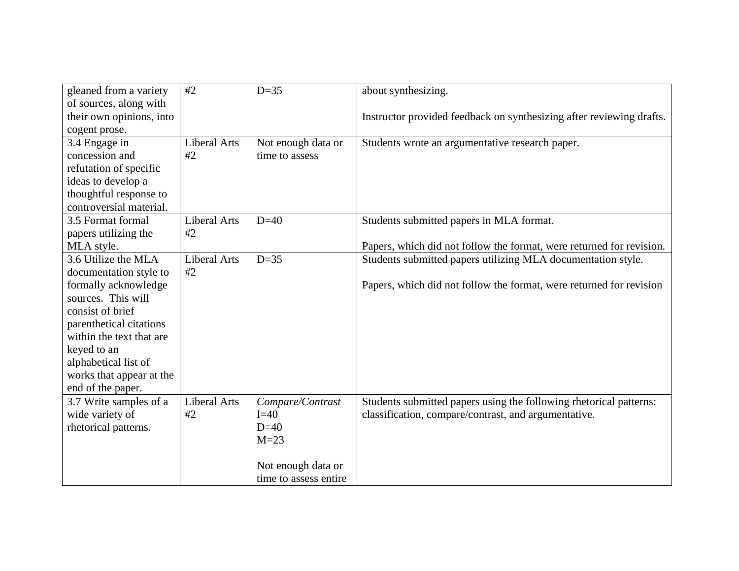| gleaned from a variety   | #2                  | $D=35$                | about synthesizing.                                                  |
|--------------------------|---------------------|-----------------------|----------------------------------------------------------------------|
| of sources, along with   |                     |                       |                                                                      |
| their own opinions, into |                     |                       | Instructor provided feedback on synthesizing after reviewing drafts. |
| cogent prose.            |                     |                       |                                                                      |
| 3.4 Engage in            | <b>Liberal Arts</b> | Not enough data or    | Students wrote an argumentative research paper.                      |
| concession and           | #2                  | time to assess        |                                                                      |
| refutation of specific   |                     |                       |                                                                      |
| ideas to develop a       |                     |                       |                                                                      |
| thoughtful response to   |                     |                       |                                                                      |
| controversial material.  |                     |                       |                                                                      |
| 3.5 Format formal        | <b>Liberal Arts</b> | $D=40$                | Students submitted papers in MLA format.                             |
| papers utilizing the     | #2                  |                       |                                                                      |
| MLA style.               |                     |                       | Papers, which did not follow the format, were returned for revision. |
| 3.6 Utilize the MLA      | <b>Liberal Arts</b> | $D=35$                | Students submitted papers utilizing MLA documentation style.         |
| documentation style to   | #2                  |                       |                                                                      |
| formally acknowledge     |                     |                       | Papers, which did not follow the format, were returned for revision  |
| sources. This will       |                     |                       |                                                                      |
| consist of brief         |                     |                       |                                                                      |
| parenthetical citations  |                     |                       |                                                                      |
| within the text that are |                     |                       |                                                                      |
| keyed to an              |                     |                       |                                                                      |
| alphabetical list of     |                     |                       |                                                                      |
| works that appear at the |                     |                       |                                                                      |
| end of the paper.        |                     |                       |                                                                      |
| 3.7 Write samples of a   | <b>Liberal Arts</b> | Compare/Contrast      | Students submitted papers using the following rhetorical patterns:   |
| wide variety of          | #2                  | $I=40$                | classification, compare/contrast, and argumentative.                 |
| rhetorical patterns.     |                     | $D=40$                |                                                                      |
|                          |                     | $M=23$                |                                                                      |
|                          |                     |                       |                                                                      |
|                          |                     | Not enough data or    |                                                                      |
|                          |                     | time to assess entire |                                                                      |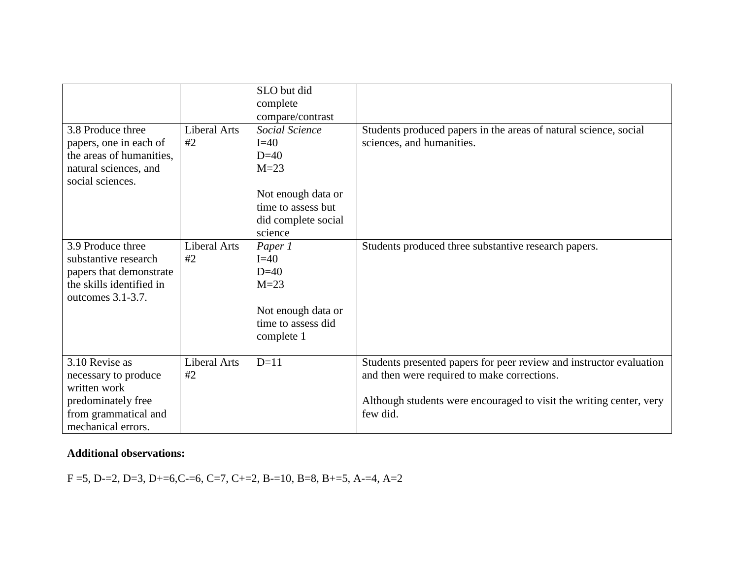|                                                    |                     | SLO but did<br>complete<br>compare/contrast |                                                                                 |
|----------------------------------------------------|---------------------|---------------------------------------------|---------------------------------------------------------------------------------|
| 3.8 Produce three                                  | <b>Liberal Arts</b> | Social Science                              | Students produced papers in the areas of natural science, social                |
| papers, one in each of<br>the areas of humanities, | #2                  | $I=40$<br>$D=40$                            | sciences, and humanities.                                                       |
| natural sciences, and<br>social sciences.          |                     | $M=23$                                      |                                                                                 |
|                                                    |                     | Not enough data or                          |                                                                                 |
|                                                    |                     | time to assess but                          |                                                                                 |
|                                                    |                     | did complete social                         |                                                                                 |
| 3.9 Produce three                                  | <b>Liberal Arts</b> | science                                     |                                                                                 |
| substantive research                               | #2                  | Paper 1<br>$I=40$                           | Students produced three substantive research papers.                            |
| papers that demonstrate                            |                     | $D=40$                                      |                                                                                 |
| the skills identified in                           |                     | $M=23$                                      |                                                                                 |
| outcomes 3.1-3.7.                                  |                     |                                             |                                                                                 |
|                                                    |                     | Not enough data or                          |                                                                                 |
|                                                    |                     | time to assess did                          |                                                                                 |
|                                                    |                     | complete 1                                  |                                                                                 |
|                                                    |                     |                                             |                                                                                 |
| 3.10 Revise as                                     | Liberal Arts        | $D=11$                                      | Students presented papers for peer review and instructor evaluation             |
| necessary to produce                               | #2                  |                                             | and then were required to make corrections.                                     |
| written work                                       |                     |                                             |                                                                                 |
| predominately free                                 |                     |                                             | Although students were encouraged to visit the writing center, very<br>few did. |
| from grammatical and                               |                     |                                             |                                                                                 |
| mechanical errors.                                 |                     |                                             |                                                                                 |

## **Additional observations:**

F =5, D-=2, D=3, D+=6,C-=6, C=7, C+=2, B-=10, B=8, B+=5, A-=4, A=2